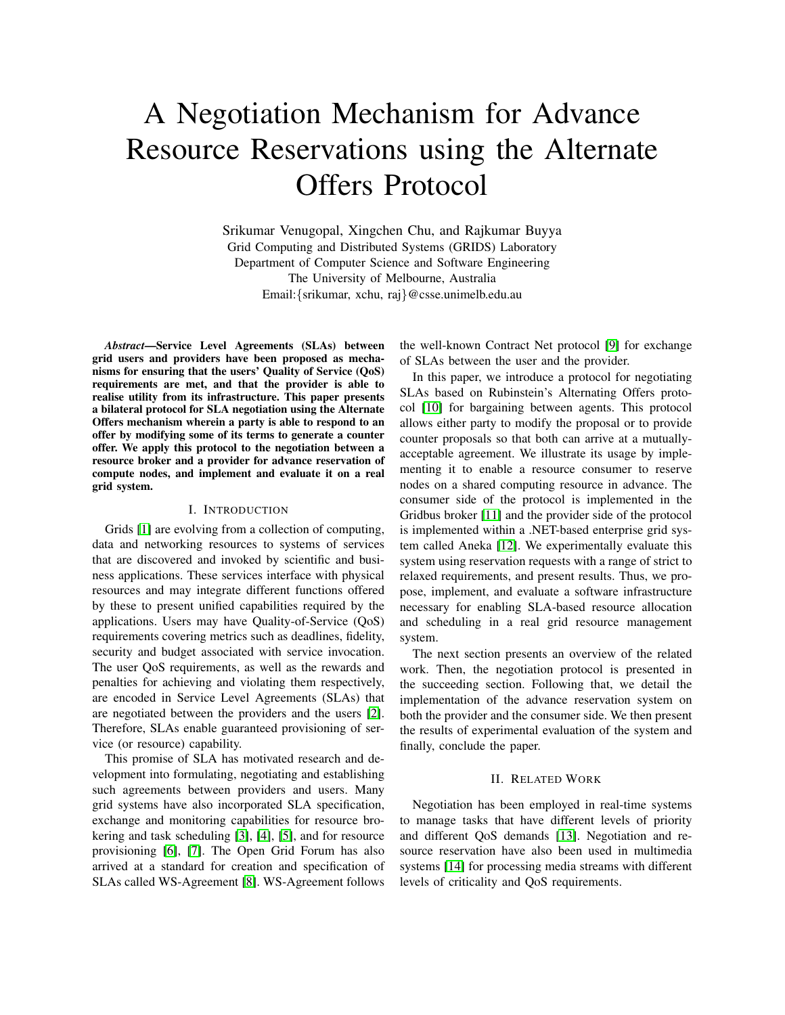# A Negotiation Mechanism for Advance Resource Reservations using the Alternate Offers Protocol

Srikumar Venugopal, Xingchen Chu, and Rajkumar Buyya Grid Computing and Distributed Systems (GRIDS) Laboratory Department of Computer Science and Software Engineering The University of Melbourne, Australia Email:{srikumar, xchu, raj}@csse.unimelb.edu.au

*Abstract*—Service Level Agreements (SLAs) between grid users and providers have been proposed as mechanisms for ensuring that the users' Quality of Service (QoS) requirements are met, and that the provider is able to realise utility from its infrastructure. This paper presents a bilateral protocol for SLA negotiation using the Alternate Offers mechanism wherein a party is able to respond to an offer by modifying some of its terms to generate a counter offer. We apply this protocol to the negotiation between a resource broker and a provider for advance reservation of compute nodes, and implement and evaluate it on a real grid system.

# I. INTRODUCTION

Grids [\[1\]](#page-8-0) are evolving from a collection of computing, data and networking resources to systems of services that are discovered and invoked by scientific and business applications. These services interface with physical resources and may integrate different functions offered by these to present unified capabilities required by the applications. Users may have Quality-of-Service (QoS) requirements covering metrics such as deadlines, fidelity, security and budget associated with service invocation. The user QoS requirements, as well as the rewards and penalties for achieving and violating them respectively, are encoded in Service Level Agreements (SLAs) that are negotiated between the providers and the users [\[2\]](#page-8-1). Therefore, SLAs enable guaranteed provisioning of service (or resource) capability.

This promise of SLA has motivated research and development into formulating, negotiating and establishing such agreements between providers and users. Many grid systems have also incorporated SLA specification, exchange and monitoring capabilities for resource brokering and task scheduling [\[3\]](#page-8-2), [\[4\]](#page-8-3), [\[5\]](#page-8-4), and for resource provisioning [\[6\]](#page-8-5), [\[7\]](#page-8-6). The Open Grid Forum has also arrived at a standard for creation and specification of SLAs called WS-Agreement [\[8\]](#page-8-7). WS-Agreement follows

the well-known Contract Net protocol [\[9\]](#page-8-8) for exchange of SLAs between the user and the provider.

In this paper, we introduce a protocol for negotiating SLAs based on Rubinstein's Alternating Offers protocol [\[10\]](#page-8-9) for bargaining between agents. This protocol allows either party to modify the proposal or to provide counter proposals so that both can arrive at a mutuallyacceptable agreement. We illustrate its usage by implementing it to enable a resource consumer to reserve nodes on a shared computing resource in advance. The consumer side of the protocol is implemented in the Gridbus broker [\[11\]](#page-8-10) and the provider side of the protocol is implemented within a .NET-based enterprise grid system called Aneka [\[12\]](#page-8-11). We experimentally evaluate this system using reservation requests with a range of strict to relaxed requirements, and present results. Thus, we propose, implement, and evaluate a software infrastructure necessary for enabling SLA-based resource allocation and scheduling in a real grid resource management system.

The next section presents an overview of the related work. Then, the negotiation protocol is presented in the succeeding section. Following that, we detail the implementation of the advance reservation system on both the provider and the consumer side. We then present the results of experimental evaluation of the system and finally, conclude the paper.

# II. RELATED WORK

Negotiation has been employed in real-time systems to manage tasks that have different levels of priority and different QoS demands [\[13\]](#page-8-12). Negotiation and resource reservation have also been used in multimedia systems [\[14\]](#page-8-13) for processing media streams with different levels of criticality and QoS requirements.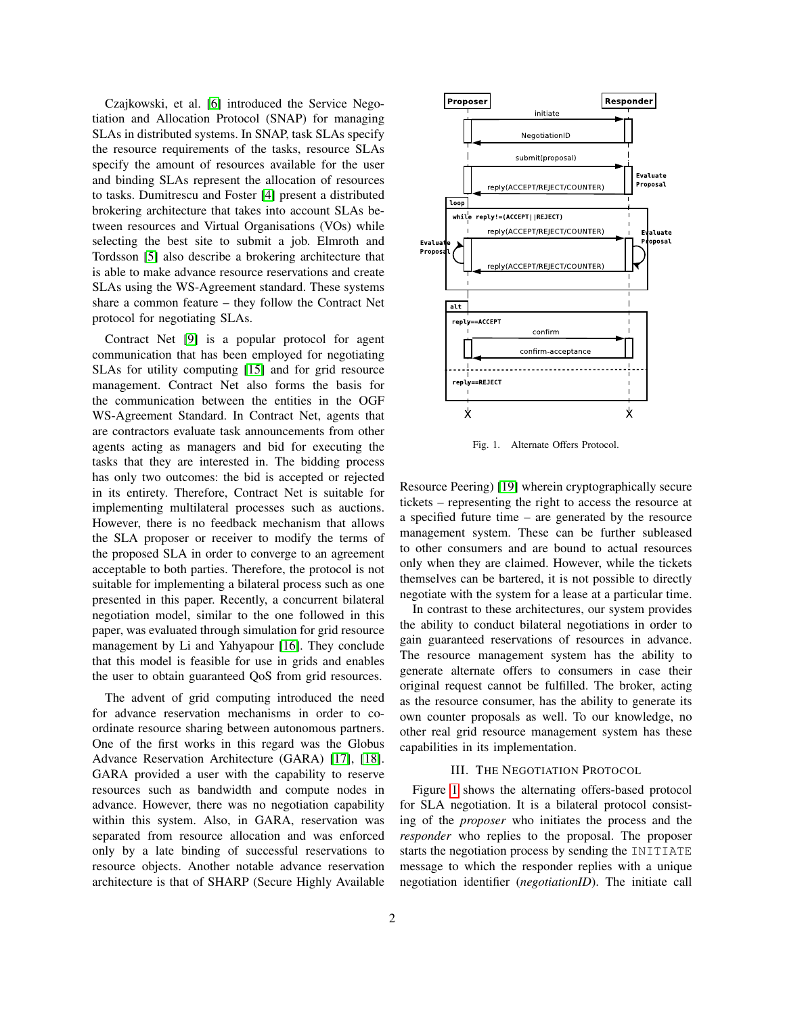Czajkowski, et al. [\[6\]](#page-8-5) introduced the Service Negotiation and Allocation Protocol (SNAP) for managing SLAs in distributed systems. In SNAP, task SLAs specify the resource requirements of the tasks, resource SLAs specify the amount of resources available for the user and binding SLAs represent the allocation of resources to tasks. Dumitrescu and Foster [\[4\]](#page-8-3) present a distributed brokering architecture that takes into account SLAs between resources and Virtual Organisations (VOs) while selecting the best site to submit a job. Elmroth and Tordsson [\[5\]](#page-8-4) also describe a brokering architecture that is able to make advance resource reservations and create SLAs using the WS-Agreement standard. These systems share a common feature – they follow the Contract Net protocol for negotiating SLAs.

Contract Net [\[9\]](#page-8-8) is a popular protocol for agent communication that has been employed for negotiating SLAs for utility computing [\[15\]](#page-8-14) and for grid resource management. Contract Net also forms the basis for the communication between the entities in the OGF WS-Agreement Standard. In Contract Net, agents that are contractors evaluate task announcements from other agents acting as managers and bid for executing the tasks that they are interested in. The bidding process has only two outcomes: the bid is accepted or rejected in its entirety. Therefore, Contract Net is suitable for implementing multilateral processes such as auctions. However, there is no feedback mechanism that allows the SLA proposer or receiver to modify the terms of the proposed SLA in order to converge to an agreement acceptable to both parties. Therefore, the protocol is not suitable for implementing a bilateral process such as one presented in this paper. Recently, a concurrent bilateral negotiation model, similar to the one followed in this paper, was evaluated through simulation for grid resource management by Li and Yahyapour [\[16\]](#page-8-15). They conclude that this model is feasible for use in grids and enables the user to obtain guaranteed QoS from grid resources.

The advent of grid computing introduced the need for advance reservation mechanisms in order to coordinate resource sharing between autonomous partners. One of the first works in this regard was the Globus Advance Reservation Architecture (GARA) [\[17\]](#page-8-16), [\[18\]](#page-9-0). GARA provided a user with the capability to reserve resources such as bandwidth and compute nodes in advance. However, there was no negotiation capability within this system. Also, in GARA, reservation was separated from resource allocation and was enforced only by a late binding of successful reservations to resource objects. Another notable advance reservation architecture is that of SHARP (Secure Highly Available



<span id="page-1-0"></span>Fig. 1. Alternate Offers Protocol.

Resource Peering) [\[19\]](#page-9-1) wherein cryptographically secure tickets – representing the right to access the resource at a specified future time – are generated by the resource management system. These can be further subleased to other consumers and are bound to actual resources only when they are claimed. However, while the tickets themselves can be bartered, it is not possible to directly negotiate with the system for a lease at a particular time.

In contrast to these architectures, our system provides the ability to conduct bilateral negotiations in order to gain guaranteed reservations of resources in advance. The resource management system has the ability to generate alternate offers to consumers in case their original request cannot be fulfilled. The broker, acting as the resource consumer, has the ability to generate its own counter proposals as well. To our knowledge, no other real grid resource management system has these capabilities in its implementation.

### III. THE NEGOTIATION PROTOCOL

<span id="page-1-1"></span>Figure [1](#page-1-0) shows the alternating offers-based protocol for SLA negotiation. It is a bilateral protocol consisting of the *proposer* who initiates the process and the *responder* who replies to the proposal. The proposer starts the negotiation process by sending the INITIATE message to which the responder replies with a unique negotiation identifier (*negotiationID*). The initiate call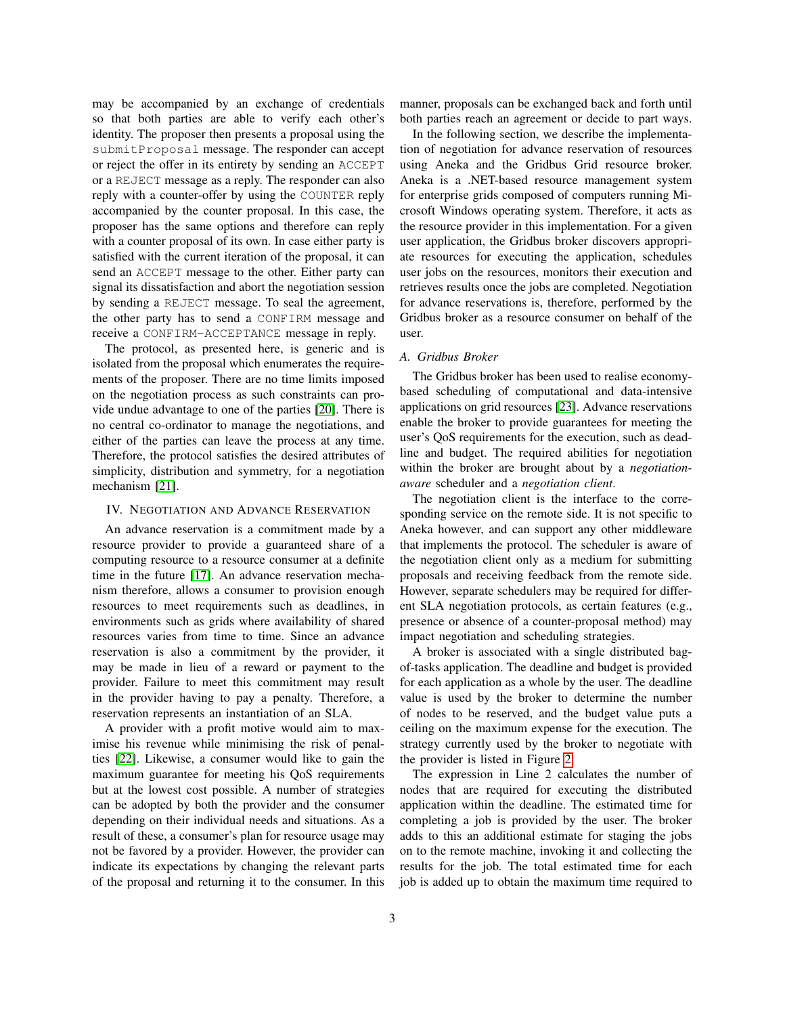may be accompanied by an exchange of credentials so that both parties are able to verify each other's identity. The proposer then presents a proposal using the submitProposal message. The responder can accept or reject the offer in its entirety by sending an ACCEPT or a REJECT message as a reply. The responder can also reply with a counter-offer by using the COUNTER reply accompanied by the counter proposal. In this case, the proposer has the same options and therefore can reply with a counter proposal of its own. In case either party is satisfied with the current iteration of the proposal, it can send an ACCEPT message to the other. Either party can signal its dissatisfaction and abort the negotiation session by sending a REJECT message. To seal the agreement, the other party has to send a CONFIRM message and receive a CONFIRM-ACCEPTANCE message in reply.

The protocol, as presented here, is generic and is isolated from the proposal which enumerates the requirements of the proposer. There are no time limits imposed on the negotiation process as such constraints can provide undue advantage to one of the parties [\[20\]](#page-9-2). There is no central co-ordinator to manage the negotiations, and either of the parties can leave the process at any time. Therefore, the protocol satisfies the desired attributes of simplicity, distribution and symmetry, for a negotiation mechanism [\[21\]](#page-9-3).

#### IV. NEGOTIATION AND ADVANCE RESERVATION

An advance reservation is a commitment made by a resource provider to provide a guaranteed share of a computing resource to a resource consumer at a definite time in the future [\[17\]](#page-8-16). An advance reservation mechanism therefore, allows a consumer to provision enough resources to meet requirements such as deadlines, in environments such as grids where availability of shared resources varies from time to time. Since an advance reservation is also a commitment by the provider, it may be made in lieu of a reward or payment to the provider. Failure to meet this commitment may result in the provider having to pay a penalty. Therefore, a reservation represents an instantiation of an SLA.

A provider with a profit motive would aim to maximise his revenue while minimising the risk of penalties [\[22\]](#page-9-4). Likewise, a consumer would like to gain the maximum guarantee for meeting his QoS requirements but at the lowest cost possible. A number of strategies can be adopted by both the provider and the consumer depending on their individual needs and situations. As a result of these, a consumer's plan for resource usage may not be favored by a provider. However, the provider can indicate its expectations by changing the relevant parts of the proposal and returning it to the consumer. In this manner, proposals can be exchanged back and forth until both parties reach an agreement or decide to part ways.

In the following section, we describe the implementation of negotiation for advance reservation of resources using Aneka and the Gridbus Grid resource broker. Aneka is a .NET-based resource management system for enterprise grids composed of computers running Microsoft Windows operating system. Therefore, it acts as the resource provider in this implementation. For a given user application, the Gridbus broker discovers appropriate resources for executing the application, schedules user jobs on the resources, monitors their execution and retrieves results once the jobs are completed. Negotiation for advance reservations is, therefore, performed by the Gridbus broker as a resource consumer on behalf of the user.

# *A. Gridbus Broker*

The Gridbus broker has been used to realise economybased scheduling of computational and data-intensive applications on grid resources [\[23\]](#page-9-5). Advance reservations enable the broker to provide guarantees for meeting the user's QoS requirements for the execution, such as deadline and budget. The required abilities for negotiation within the broker are brought about by a *negotiationaware* scheduler and a *negotiation client*.

The negotiation client is the interface to the corresponding service on the remote side. It is not specific to Aneka however, and can support any other middleware that implements the protocol. The scheduler is aware of the negotiation client only as a medium for submitting proposals and receiving feedback from the remote side. However, separate schedulers may be required for different SLA negotiation protocols, as certain features (e.g., presence or absence of a counter-proposal method) may impact negotiation and scheduling strategies.

A broker is associated with a single distributed bagof-tasks application. The deadline and budget is provided for each application as a whole by the user. The deadline value is used by the broker to determine the number of nodes to be reserved, and the budget value puts a ceiling on the maximum expense for the execution. The strategy currently used by the broker to negotiate with the provider is listed in Figure [2.](#page-3-0)

The expression in Line 2 calculates the number of nodes that are required for executing the distributed application within the deadline. The estimated time for completing a job is provided by the user. The broker adds to this an additional estimate for staging the jobs on to the remote machine, invoking it and collecting the results for the job. The total estimated time for each job is added up to obtain the maximum time required to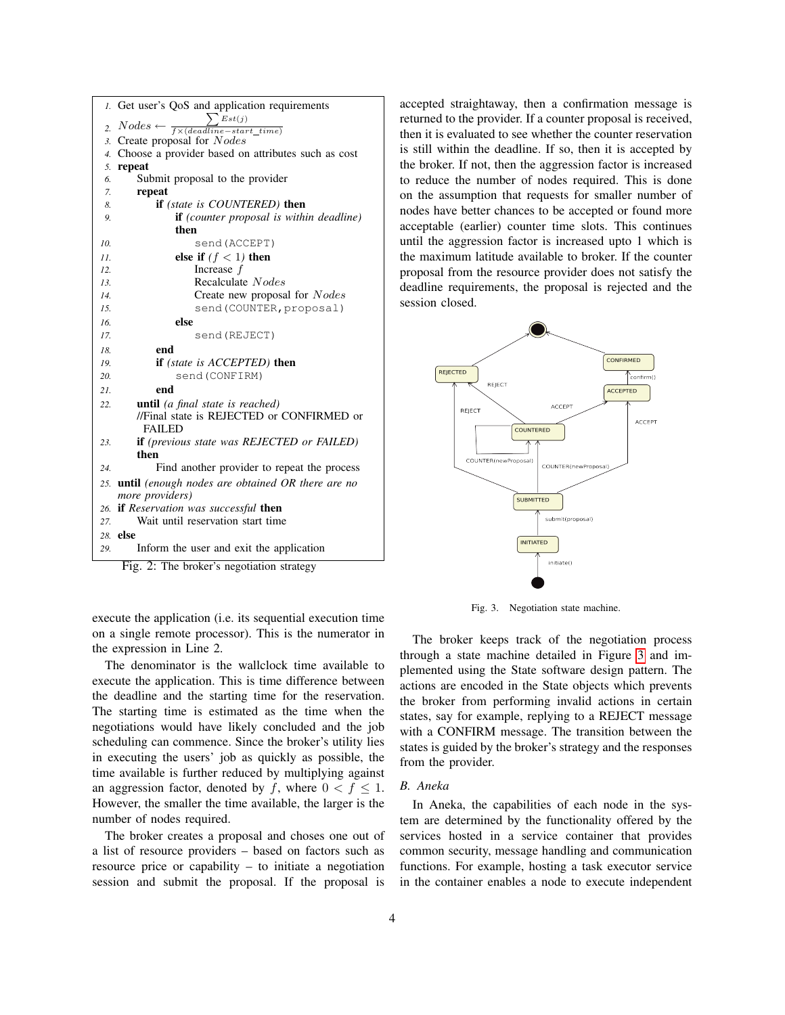|                  | 1. Get user's QoS and application requirements                                                       |
|------------------|------------------------------------------------------------------------------------------------------|
|                  | Est(j)                                                                                               |
| $\overline{2}$ . | $Nodes \leftarrow \overbrace{f \times (deadline - start\_time)}^{f \times (deadline - start\_time)}$ |
| 3.               | Create proposal for Nodes                                                                            |
| $\overline{4}$ . | Choose a provider based on attributes such as cost                                                   |
| 5.               | repeat                                                                                               |
| 6.               | Submit proposal to the provider                                                                      |
| 7.               | repeat<br>if (state is COUNTERED) then                                                               |
| 8.               | <b>if</b> (counter proposal is within deadline)                                                      |
| 9.               | then                                                                                                 |
| 10.              | send (ACCEPT)                                                                                        |
| 11.              | else if $(f < 1)$ then                                                                               |
| 12.              | Increase $f$                                                                                         |
| 13.              | Recalculate Nodes                                                                                    |
| 14.              | Create new proposal for Nodes                                                                        |
| 15.              | send (COUNTER, proposal)                                                                             |
| 16.              | else                                                                                                 |
| 17.              | send (REJECT)                                                                                        |
|                  |                                                                                                      |
| 18.              | end                                                                                                  |
| 19.              | <b>if</b> (state is ACCEPTED) then<br>send (CONFIRM)                                                 |
| 20.              |                                                                                                      |
| 21.              | end                                                                                                  |
| 22.              | <b>until</b> (a final state is reached)                                                              |
|                  | //Final state is REJECTED or CONFIRMED or                                                            |
|                  | <b>FAILED</b>                                                                                        |
| 23.              | <b>if</b> (previous state was REJECTED or FAILED)<br>then                                            |
| 24.              |                                                                                                      |
|                  | Find another provider to repeat the process                                                          |
| 25.              | until (enough nodes are obtained OR there are no                                                     |
|                  | more providers)                                                                                      |
| 26.<br>27.       | <b>if</b> Reservation was successful <b>then</b><br>Wait until reservation start time                |
|                  | else                                                                                                 |
| 28.              |                                                                                                      |
| 29.              | Inform the user and exit the application                                                             |
|                  | Fig. 2: The broker's negotiation strategy                                                            |

<span id="page-3-0"></span>execute the application (i.e. its sequential execution time on a single remote processor). This is the numerator in the expression in Line 2.

The denominator is the wallclock time available to execute the application. This is time difference between the deadline and the starting time for the reservation. The starting time is estimated as the time when the negotiations would have likely concluded and the job scheduling can commence. Since the broker's utility lies in executing the users' job as quickly as possible, the time available is further reduced by multiplying against an aggression factor, denoted by f, where  $0 < f < 1$ . However, the smaller the time available, the larger is the number of nodes required.

The broker creates a proposal and choses one out of a list of resource providers – based on factors such as resource price or capability – to initiate a negotiation session and submit the proposal. If the proposal is

accepted straightaway, then a confirmation message is returned to the provider. If a counter proposal is received, then it is evaluated to see whether the counter reservation is still within the deadline. If so, then it is accepted by the broker. If not, then the aggression factor is increased to reduce the number of nodes required. This is done on the assumption that requests for smaller number of nodes have better chances to be accepted or found more acceptable (earlier) counter time slots. This continues until the aggression factor is increased upto 1 which is the maximum latitude available to broker. If the counter proposal from the resource provider does not satisfy the deadline requirements, the proposal is rejected and the session closed.



<span id="page-3-1"></span>Fig. 3. Negotiation state machine.

The broker keeps track of the negotiation process through a state machine detailed in Figure [3](#page-3-1) and implemented using the State software design pattern. The actions are encoded in the State objects which prevents the broker from performing invalid actions in certain states, say for example, replying to a REJECT message with a CONFIRM message. The transition between the states is guided by the broker's strategy and the responses from the provider.

# *B. Aneka*

In Aneka, the capabilities of each node in the system are determined by the functionality offered by the services hosted in a service container that provides common security, message handling and communication functions. For example, hosting a task executor service in the container enables a node to execute independent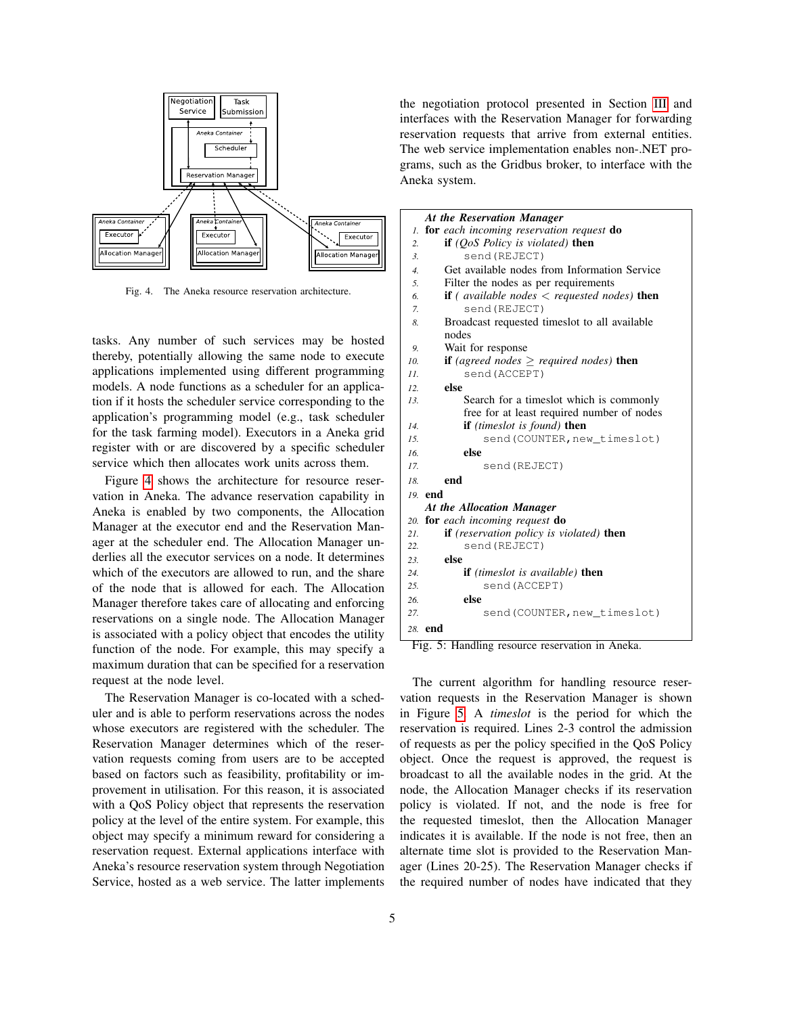

<span id="page-4-0"></span>Fig. 4. The Aneka resource reservation architecture.

tasks. Any number of such services may be hosted thereby, potentially allowing the same node to execute applications implemented using different programming models. A node functions as a scheduler for an application if it hosts the scheduler service corresponding to the application's programming model (e.g., task scheduler for the task farming model). Executors in a Aneka grid register with or are discovered by a specific scheduler service which then allocates work units across them.

Figure [4](#page-4-0) shows the architecture for resource reservation in Aneka. The advance reservation capability in Aneka is enabled by two components, the Allocation Manager at the executor end and the Reservation Manager at the scheduler end. The Allocation Manager underlies all the executor services on a node. It determines which of the executors are allowed to run, and the share of the node that is allowed for each. The Allocation Manager therefore takes care of allocating and enforcing reservations on a single node. The Allocation Manager is associated with a policy object that encodes the utility function of the node. For example, this may specify a maximum duration that can be specified for a reservation request at the node level.

The Reservation Manager is co-located with a scheduler and is able to perform reservations across the nodes whose executors are registered with the scheduler. The Reservation Manager determines which of the reservation requests coming from users are to be accepted based on factors such as feasibility, profitability or improvement in utilisation. For this reason, it is associated with a QoS Policy object that represents the reservation policy at the level of the entire system. For example, this object may specify a minimum reward for considering a reservation request. External applications interface with Aneka's resource reservation system through Negotiation Service, hosted as a web service. The latter implements

the negotiation protocol presented in Section [III](#page-1-1) and interfaces with the Reservation Manager for forwarding reservation requests that arrive from external entities. The web service implementation enables non-.NET programs, such as the Gridbus broker, to interface with the Aneka system.

| At the Reservation Manager                                                          |
|-------------------------------------------------------------------------------------|
| <b>for</b> each incoming reservation request <b>do</b><br>1.                        |
| <b>if</b> ( <i>QoS Policy is violated</i> ) <b>then</b><br>2.                       |
| send (REJECT)<br>3.                                                                 |
| Get available nodes from Information Service<br>$\overline{4}$ .                    |
| Filter the nodes as per requirements<br>5.                                          |
| <b>if</b> ( <i>available nodes</i> $\lt$ <i>requested nodes</i> ) <b>then</b><br>6. |
| send(REJECT)<br>7.                                                                  |
| Broadcast requested times ot to all available<br>8.                                 |
| nodes                                                                               |
| Wait for response<br>9.                                                             |
| <b>if</b> (agreed nodes $>$ required nodes) <b>then</b><br>10.                      |
| send (ACCEPT)<br>11.                                                                |
| else<br>12.                                                                         |
| Search for a timeslot which is commonly<br>13.                                      |
| free for at least required number of nodes                                          |
| <b>if</b> (timeslot is found) <b>then</b><br>14.                                    |
| send (COUNTER, new_timeslot)<br>15.                                                 |
| else<br>16.                                                                         |
| 17.<br>send (REJECT)                                                                |
| end<br>18                                                                           |
| 19. end                                                                             |
| At the Allocation Manager                                                           |
| <b>for</b> each incoming request <b>do</b><br>20.                                   |
| <b>if</b> (reservation policy is violated) <b>then</b><br>21.                       |
| send (REJECT)<br>22.                                                                |
| else<br>23.                                                                         |
| <b>if</b> ( <i>timeslot is available</i> ) <b>then</b><br>24.                       |
| send (ACCEPT)<br>25.                                                                |
| else<br>26.                                                                         |
| 27.<br>send (COUNTER, new_timeslot)                                                 |
| 28. end                                                                             |
| $5.$ Handling resource reservation in Aneka<br>Fig.                                 |

<span id="page-4-1"></span>Fig. 5: Handling

The current algorithm for handling resource reservation requests in the Reservation Manager is shown in Figure [5.](#page-4-1) A *timeslot* is the period for which the reservation is required. Lines 2-3 control the admission of requests as per the policy specified in the QoS Policy object. Once the request is approved, the request is broadcast to all the available nodes in the grid. At the node, the Allocation Manager checks if its reservation policy is violated. If not, and the node is free for the requested timeslot, then the Allocation Manager indicates it is available. If the node is not free, then an alternate time slot is provided to the Reservation Manager (Lines 20-25). The Reservation Manager checks if the required number of nodes have indicated that they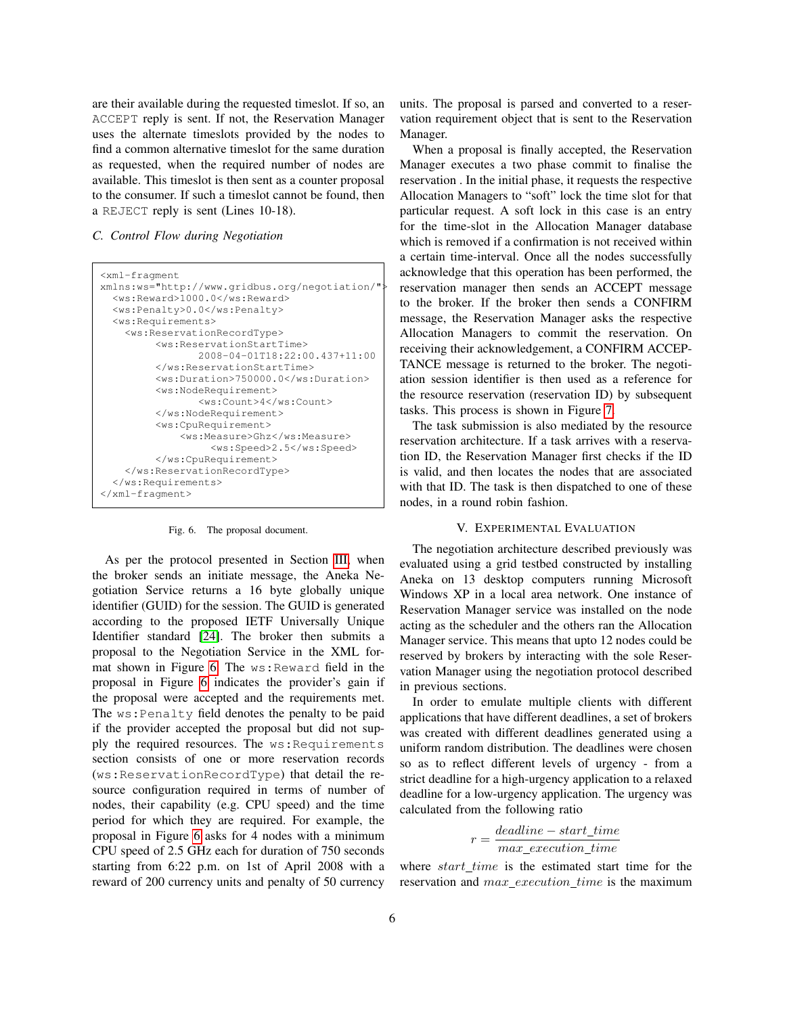are their available during the requested timeslot. If so, an ACCEPT reply is sent. If not, the Reservation Manager uses the alternate timeslots provided by the nodes to find a common alternative timeslot for the same duration as requested, when the required number of nodes are available. This timeslot is then sent as a counter proposal to the consumer. If such a timeslot cannot be found, then a REJECT reply is sent (Lines 10-18).

# *C. Control Flow during Negotiation*

| $<$ xml-fraqment<br>xmlns:ws="http://www.qridbus.org/negotiation/"><br><ws:reward>1000.0</ws:reward><br><ws:penalty>0.0</ws:penalty> |  |
|--------------------------------------------------------------------------------------------------------------------------------------|--|
|                                                                                                                                      |  |
| <ws:requirements></ws:requirements>                                                                                                  |  |
| <ws:reservationrecordtype></ws:reservationrecordtype>                                                                                |  |
| <ws:reservationstarttime></ws:reservationstarttime>                                                                                  |  |
| 2008-04-01T18:22:00.437+11:00                                                                                                        |  |
|                                                                                                                                      |  |
| <ws:duration>750000.0</ws:duration>                                                                                                  |  |
| <ws:noderequirement></ws:noderequirement>                                                                                            |  |
| <ws:count>4</ws:count>                                                                                                               |  |
|                                                                                                                                      |  |
| <ws:cpurequirement></ws:cpurequirement>                                                                                              |  |
| <ws:measure>Ghz</ws:measure>                                                                                                         |  |
| <ws:speed>2.5</ws:speed>                                                                                                             |  |
|                                                                                                                                      |  |
|                                                                                                                                      |  |
|                                                                                                                                      |  |
|                                                                                                                                      |  |

<span id="page-5-0"></span>Fig. 6. The proposal document.

As per the protocol presented in Section [III,](#page-1-1) when the broker sends an initiate message, the Aneka Negotiation Service returns a 16 byte globally unique identifier (GUID) for the session. The GUID is generated according to the proposed IETF Universally Unique Identifier standard [\[24\]](#page-9-6). The broker then submits a proposal to the Negotiation Service in the XML format shown in Figure [6.](#page-5-0) The ws:Reward field in the proposal in Figure [6](#page-5-0) indicates the provider's gain if the proposal were accepted and the requirements met. The ws:Penalty field denotes the penalty to be paid if the provider accepted the proposal but did not supply the required resources. The ws:Requirements section consists of one or more reservation records (ws:ReservationRecordType) that detail the resource configuration required in terms of number of nodes, their capability (e.g. CPU speed) and the time period for which they are required. For example, the proposal in Figure [6](#page-5-0) asks for 4 nodes with a minimum CPU speed of 2.5 GHz each for duration of 750 seconds starting from 6:22 p.m. on 1st of April 2008 with a reward of 200 currency units and penalty of 50 currency

units. The proposal is parsed and converted to a reservation requirement object that is sent to the Reservation Manager.

When a proposal is finally accepted, the Reservation Manager executes a two phase commit to finalise the reservation . In the initial phase, it requests the respective Allocation Managers to "soft" lock the time slot for that particular request. A soft lock in this case is an entry for the time-slot in the Allocation Manager database which is removed if a confirmation is not received within a certain time-interval. Once all the nodes successfully acknowledge that this operation has been performed, the reservation manager then sends an ACCEPT message to the broker. If the broker then sends a CONFIRM message, the Reservation Manager asks the respective Allocation Managers to commit the reservation. On receiving their acknowledgement, a CONFIRM ACCEP-TANCE message is returned to the broker. The negotiation session identifier is then used as a reference for the resource reservation (reservation ID) by subsequent tasks. This process is shown in Figure [7.](#page-6-0)

The task submission is also mediated by the resource reservation architecture. If a task arrives with a reservation ID, the Reservation Manager first checks if the ID is valid, and then locates the nodes that are associated with that ID. The task is then dispatched to one of these nodes, in a round robin fashion.

# V. EXPERIMENTAL EVALUATION

The negotiation architecture described previously was evaluated using a grid testbed constructed by installing Aneka on 13 desktop computers running Microsoft Windows XP in a local area network. One instance of Reservation Manager service was installed on the node acting as the scheduler and the others ran the Allocation Manager service. This means that upto 12 nodes could be reserved by brokers by interacting with the sole Reservation Manager using the negotiation protocol described in previous sections.

In order to emulate multiple clients with different applications that have different deadlines, a set of brokers was created with different deadlines generated using a uniform random distribution. The deadlines were chosen so as to reflect different levels of urgency - from a strict deadline for a high-urgency application to a relaxed deadline for a low-urgency application. The urgency was calculated from the following ratio

$$
r = \frac{deadline - start\_time}{max\_execution\_time}
$$

where  $start\_time$  is the estimated start time for the reservation and  $max\_execution\_time$  is the maximum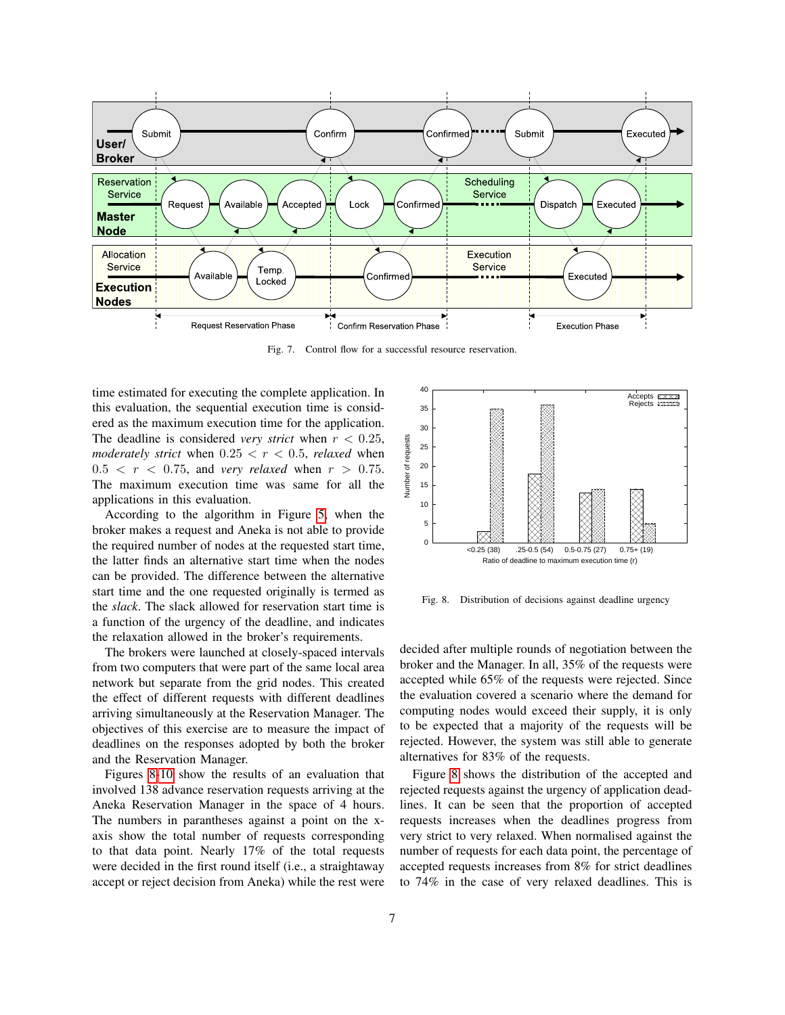

<span id="page-6-0"></span>Fig. 7. Control flow for a successful resource reservation.

time estimated for executing the complete application. In this evaluation, the sequential execution time is considered as the maximum execution time for the application. The deadline is considered *very strict* when  $r < 0.25$ , *moderately strict* when  $0.25 < r < 0.5$ , *relaxed* when  $0.5 < r < 0.75$ , and *very relaxed* when  $r > 0.75$ . The maximum execution time was same for all the applications in this evaluation.

According to the algorithm in Figure [5,](#page-4-1) when the broker makes a request and Aneka is not able to provide the required number of nodes at the requested start time, the latter finds an alternative start time when the nodes can be provided. The difference between the alternative start time and the one requested originally is termed as the *slack*. The slack allowed for reservation start time is a function of the urgency of the deadline, and indicates the relaxation allowed in the broker's requirements.

The brokers were launched at closely-spaced intervals from two computers that were part of the same local area network but separate from the grid nodes. This created the effect of different requests with different deadlines arriving simultaneously at the Reservation Manager. The objectives of this exercise are to measure the impact of deadlines on the responses adopted by both the broker and the Reservation Manager.

Figures [8](#page-6-1)[-10](#page-7-0) show the results of an evaluation that involved 138 advance reservation requests arriving at the Aneka Reservation Manager in the space of 4 hours. The numbers in parantheses against a point on the xaxis show the total number of requests corresponding to that data point. Nearly 17% of the total requests were decided in the first round itself (i.e., a straightaway accept or reject decision from Aneka) while the rest were



<span id="page-6-1"></span>Fig. 8. Distribution of decisions against deadline urgency

decided after multiple rounds of negotiation between the broker and the Manager. In all, 35% of the requests were accepted while 65% of the requests were rejected. Since the evaluation covered a scenario where the demand for computing nodes would exceed their supply, it is only to be expected that a majority of the requests will be rejected. However, the system was still able to generate alternatives for 83% of the requests.

Figure [8](#page-6-1) shows the distribution of the accepted and rejected requests against the urgency of application deadlines. It can be seen that the proportion of accepted requests increases when the deadlines progress from very strict to very relaxed. When normalised against the number of requests for each data point, the percentage of accepted requests increases from 8% for strict deadlines to 74% in the case of very relaxed deadlines. This is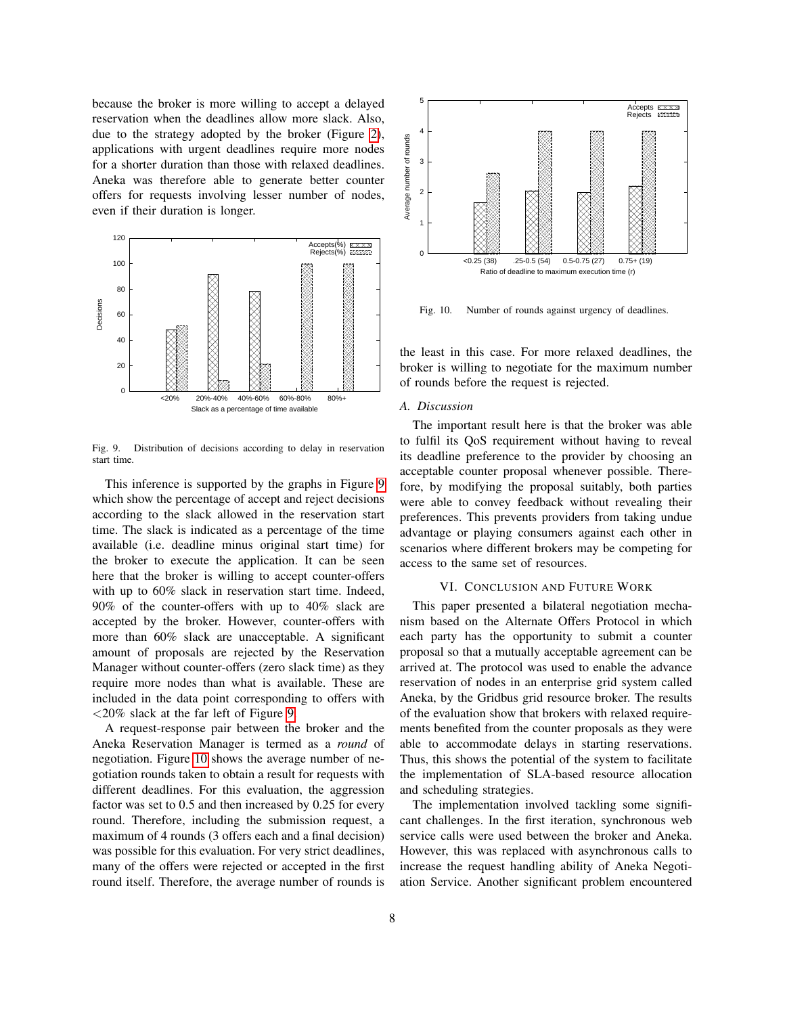because the broker is more willing to accept a delayed reservation when the deadlines allow more slack. Also, due to the strategy adopted by the broker (Figure [2\)](#page-3-0), applications with urgent deadlines require more nodes for a shorter duration than those with relaxed deadlines. Aneka was therefore able to generate better counter offers for requests involving lesser number of nodes, even if their duration is longer.



<span id="page-7-1"></span>Fig. 9. Distribution of decisions according to delay in reservation start time.

This inference is supported by the graphs in Figure [9](#page-7-1) which show the percentage of accept and reject decisions according to the slack allowed in the reservation start time. The slack is indicated as a percentage of the time available (i.e. deadline minus original start time) for the broker to execute the application. It can be seen here that the broker is willing to accept counter-offers with up to 60% slack in reservation start time. Indeed, 90% of the counter-offers with up to 40% slack are accepted by the broker. However, counter-offers with more than 60% slack are unacceptable. A significant amount of proposals are rejected by the Reservation Manager without counter-offers (zero slack time) as they require more nodes than what is available. These are included in the data point corresponding to offers with <20% slack at the far left of Figure [9.](#page-7-1)

A request-response pair between the broker and the Aneka Reservation Manager is termed as a *round* of negotiation. Figure [10](#page-7-0) shows the average number of negotiation rounds taken to obtain a result for requests with different deadlines. For this evaluation, the aggression factor was set to 0.5 and then increased by 0.25 for every round. Therefore, including the submission request, a maximum of 4 rounds (3 offers each and a final decision) was possible for this evaluation. For very strict deadlines, many of the offers were rejected or accepted in the first round itself. Therefore, the average number of rounds is



<span id="page-7-0"></span>Fig. 10. Number of rounds against urgency of deadlines.

the least in this case. For more relaxed deadlines, the broker is willing to negotiate for the maximum number of rounds before the request is rejected.

### *A. Discussion*

The important result here is that the broker was able to fulfil its QoS requirement without having to reveal its deadline preference to the provider by choosing an acceptable counter proposal whenever possible. Therefore, by modifying the proposal suitably, both parties were able to convey feedback without revealing their preferences. This prevents providers from taking undue advantage or playing consumers against each other in scenarios where different brokers may be competing for access to the same set of resources.

# VI. CONCLUSION AND FUTURE WORK

This paper presented a bilateral negotiation mechanism based on the Alternate Offers Protocol in which each party has the opportunity to submit a counter proposal so that a mutually acceptable agreement can be arrived at. The protocol was used to enable the advance reservation of nodes in an enterprise grid system called Aneka, by the Gridbus grid resource broker. The results of the evaluation show that brokers with relaxed requirements benefited from the counter proposals as they were able to accommodate delays in starting reservations. Thus, this shows the potential of the system to facilitate the implementation of SLA-based resource allocation and scheduling strategies.

The implementation involved tackling some significant challenges. In the first iteration, synchronous web service calls were used between the broker and Aneka. However, this was replaced with asynchronous calls to increase the request handling ability of Aneka Negotiation Service. Another significant problem encountered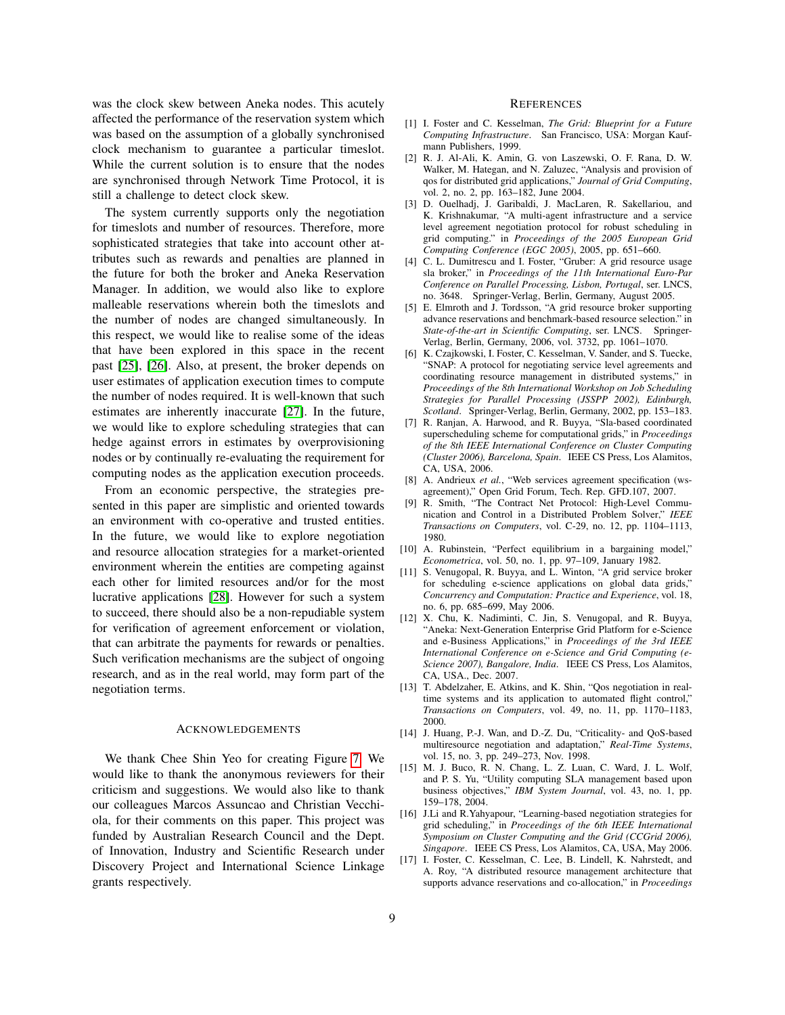was the clock skew between Aneka nodes. This acutely affected the performance of the reservation system which was based on the assumption of a globally synchronised clock mechanism to guarantee a particular timeslot. While the current solution is to ensure that the nodes are synchronised through Network Time Protocol, it is still a challenge to detect clock skew.

The system currently supports only the negotiation for timeslots and number of resources. Therefore, more sophisticated strategies that take into account other attributes such as rewards and penalties are planned in the future for both the broker and Aneka Reservation Manager. In addition, we would also like to explore malleable reservations wherein both the timeslots and the number of nodes are changed simultaneously. In this respect, we would like to realise some of the ideas that have been explored in this space in the recent past [\[25\]](#page-9-7), [\[26\]](#page-9-8). Also, at present, the broker depends on user estimates of application execution times to compute the number of nodes required. It is well-known that such estimates are inherently inaccurate [\[27\]](#page-9-9). In the future, we would like to explore scheduling strategies that can hedge against errors in estimates by overprovisioning nodes or by continually re-evaluating the requirement for computing nodes as the application execution proceeds.

From an economic perspective, the strategies presented in this paper are simplistic and oriented towards an environment with co-operative and trusted entities. In the future, we would like to explore negotiation and resource allocation strategies for a market-oriented environment wherein the entities are competing against each other for limited resources and/or for the most lucrative applications [\[28\]](#page-9-10). However for such a system to succeed, there should also be a non-repudiable system for verification of agreement enforcement or violation, that can arbitrate the payments for rewards or penalties. Such verification mechanisms are the subject of ongoing research, and as in the real world, may form part of the negotiation terms.

#### ACKNOWLEDGEMENTS

We thank Chee Shin Yeo for creating Figure [7.](#page-6-0) We would like to thank the anonymous reviewers for their criticism and suggestions. We would also like to thank our colleagues Marcos Assuncao and Christian Vecchiola, for their comments on this paper. This project was funded by Australian Research Council and the Dept. of Innovation, Industry and Scientific Research under Discovery Project and International Science Linkage grants respectively.

# **REFERENCES**

- <span id="page-8-0"></span>[1] I. Foster and C. Kesselman, *The Grid: Blueprint for a Future Computing Infrastructure*. San Francisco, USA: Morgan Kaufmann Publishers, 1999.
- <span id="page-8-1"></span>[2] R. J. Al-Ali, K. Amin, G. von Laszewski, O. F. Rana, D. W. Walker, M. Hategan, and N. Zaluzec, "Analysis and provision of qos for distributed grid applications," *Journal of Grid Computing*, vol. 2, no. 2, pp. 163–182, June 2004.
- <span id="page-8-2"></span>[3] D. Ouelhadj, J. Garibaldi, J. MacLaren, R. Sakellariou, and K. Krishnakumar, "A multi-agent infrastructure and a service level agreement negotiation protocol for robust scheduling in grid computing." in *Proceedings of the 2005 European Grid Computing Conference (EGC 2005)*, 2005, pp. 651–660.
- <span id="page-8-3"></span>[4] C. L. Dumitrescu and I. Foster, "Gruber: A grid resource usage sla broker," in *Proceedings of the 11th International Euro-Par Conference on Parallel Processing, Lisbon, Portugal*, ser. LNCS, no. 3648. Springer-Verlag, Berlin, Germany, August 2005.
- <span id="page-8-4"></span>[5] E. Elmroth and J. Tordsson, "A grid resource broker supporting advance reservations and benchmark-based resource selection." in *State-of-the-art in Scientific Computing*, ser. LNCS. Springer-Verlag, Berlin, Germany, 2006, vol. 3732, pp. 1061–1070.
- <span id="page-8-5"></span>[6] K. Czajkowski, I. Foster, C. Kesselman, V. Sander, and S. Tuecke, "SNAP: A protocol for negotiating service level agreements and coordinating resource management in distributed systems," in *Proceedings of the 8th International Workshop on Job Scheduling Strategies for Parallel Processing (JSSPP 2002), Edinburgh, Scotland*. Springer-Verlag, Berlin, Germany, 2002, pp. 153–183.
- <span id="page-8-6"></span>[7] R. Ranjan, A. Harwood, and R. Buyya, "Sla-based coordinated superscheduling scheme for computational grids," in *Proceedings of the 8th IEEE International Conference on Cluster Computing (Cluster 2006), Barcelona, Spain*. IEEE CS Press, Los Alamitos, CA, USA, 2006.
- <span id="page-8-7"></span>[8] A. Andrieux et al., "Web services agreement specification (wsagreement)," Open Grid Forum, Tech. Rep. GFD.107, 2007.
- <span id="page-8-8"></span>[9] R. Smith, "The Contract Net Protocol: High-Level Communication and Control in a Distributed Problem Solver," *IEEE Transactions on Computers*, vol. C-29, no. 12, pp. 1104–1113, 1980.
- <span id="page-8-9"></span>[10] A. Rubinstein, "Perfect equilibrium in a bargaining model," *Econometrica*, vol. 50, no. 1, pp. 97–109, January 1982.
- <span id="page-8-10"></span>[11] S. Venugopal, R. Buyya, and L. Winton, "A grid service broker for scheduling e-science applications on global data grids," *Concurrency and Computation: Practice and Experience*, vol. 18, no. 6, pp. 685–699, May 2006.
- <span id="page-8-11"></span>[12] X. Chu, K. Nadiminti, C. Jin, S. Venugopal, and R. Buyya, "Aneka: Next-Generation Enterprise Grid Platform for e-Science and e-Business Applications," in *Proceedings of the 3rd IEEE International Conference on e-Science and Grid Computing (e-Science 2007), Bangalore, India*. IEEE CS Press, Los Alamitos, CA, USA., Dec. 2007.
- <span id="page-8-12"></span>[13] T. Abdelzaher, E. Atkins, and K. Shin, "Qos negotiation in realtime systems and its application to automated flight control," *Transactions on Computers*, vol. 49, no. 11, pp. 1170–1183, 2000.
- <span id="page-8-13"></span>[14] J. Huang, P.-J. Wan, and D.-Z. Du, "Criticality- and QoS-based multiresource negotiation and adaptation," *Real-Time Systems*, vol. 15, no. 3, pp. 249–273, Nov. 1998.
- <span id="page-8-14"></span>[15] M. J. Buco, R. N. Chang, L. Z. Luan, C. Ward, J. L. Wolf, and P. S. Yu, "Utility computing SLA management based upon business objectives," *IBM System Journal*, vol. 43, no. 1, pp. 159–178, 2004.
- <span id="page-8-15"></span>[16] J.Li and R.Yahyapour, "Learning-based negotiation strategies for grid scheduling," in *Proceedings of the 6th IEEE International Symposium on Cluster Computing and the Grid (CCGrid 2006), Singapore*. IEEE CS Press, Los Alamitos, CA, USA, May 2006.
- <span id="page-8-16"></span>[17] I. Foster, C. Kesselman, C. Lee, B. Lindell, K. Nahrstedt, and A. Roy, "A distributed resource management architecture that supports advance reservations and co-allocation," in *Proceedings*